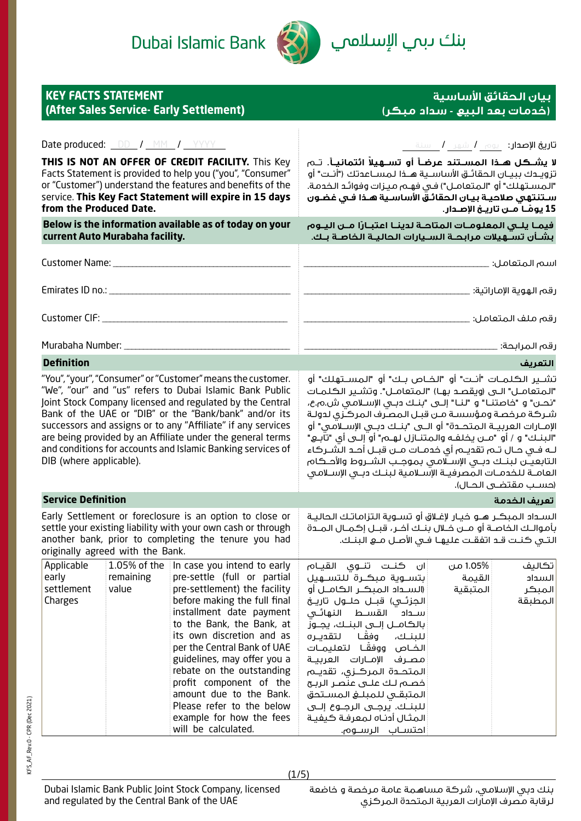Dubai Islamic Bank



بنك ىبم ال<mark>إسلام</mark>ي

| <b>KEY FACTS STATEMENT</b><br>(After Sales Service- Early Settlement)                                                                                                                                                                                                                                                                                                                                                                                                  |                                    |                                                                                                                                                                                                                                                                                                                                                                                                                                                   | (خُدمات بِعد البيع - سداد مبكر)                                                                                                                                                                                                                                                                                                                                                                                                                                                                                                                                                                                                                                            | بيان الحقائق الأساسية                           |  |
|------------------------------------------------------------------------------------------------------------------------------------------------------------------------------------------------------------------------------------------------------------------------------------------------------------------------------------------------------------------------------------------------------------------------------------------------------------------------|------------------------------------|---------------------------------------------------------------------------------------------------------------------------------------------------------------------------------------------------------------------------------------------------------------------------------------------------------------------------------------------------------------------------------------------------------------------------------------------------|----------------------------------------------------------------------------------------------------------------------------------------------------------------------------------------------------------------------------------------------------------------------------------------------------------------------------------------------------------------------------------------------------------------------------------------------------------------------------------------------------------------------------------------------------------------------------------------------------------------------------------------------------------------------------|-------------------------------------------------|--|
| <b>Date produced:</b> <u>DD</u> / MM / YYYY                                                                                                                                                                                                                                                                                                                                                                                                                            |                                    |                                                                                                                                                                                                                                                                                                                                                                                                                                                   | <b>تاريخ الإصدار:</b> يوم <b>/</b> شهر <b>/</b> سنة                                                                                                                                                                                                                                                                                                                                                                                                                                                                                                                                                                                                                        |                                                 |  |
| THIS IS NOT AN OFFER OF CREDIT FACILITY. This Key<br>Facts Statement is provided to help you ("you", "Consumer"<br>or "Customer") understand the features and benefits of the<br>service. This Key Fact Statement will expire in 15 days<br>from the Produced Date.                                                                                                                                                                                                    |                                    |                                                                                                                                                                                                                                                                                                                                                                                                                                                   | لا يشــكـل هــذا المســتنـد عرضــأ أو تســهيلاً ائتمانيــأ. تــم<br>تزويـدك ببيـان الحقائـق الأساسـية هــذا لمســاعدتك ("أنـت" أو<br>"المسـتهلك" أو  "المتعامـل") فـى فهـم مـيـزات وفوائـد الـخدمـة.<br>سـتنتهي صلاحيـة بيـان الحقائـق الأساسـية هـذا فـى غضـون                                                                                                                                                                                                                                                                                                                                                                                                            | 15 يومًــا مــن تاريــخ الإصـدار.               |  |
| Below is the information available as of today on your<br>current Auto Murabaha facility.                                                                                                                                                                                                                                                                                                                                                                              |                                    |                                                                                                                                                                                                                                                                                                                                                                                                                                                   | فيمـا يلــى المعلومـات المتاحـة لدينـا اعتبـارًا مــن اليــوم<br>بشـأن تســهيلات مرابحــة الســيارات الحاليــة الخاصـة بــك.                                                                                                                                                                                                                                                                                                                                                                                                                                                                                                                                               |                                                 |  |
|                                                                                                                                                                                                                                                                                                                                                                                                                                                                        |                                    |                                                                                                                                                                                                                                                                                                                                                                                                                                                   |                                                                                                                                                                                                                                                                                                                                                                                                                                                                                                                                                                                                                                                                            | اسم المتعامل: _                                 |  |
|                                                                                                                                                                                                                                                                                                                                                                                                                                                                        |                                    |                                                                                                                                                                                                                                                                                                                                                                                                                                                   |                                                                                                                                                                                                                                                                                                                                                                                                                                                                                                                                                                                                                                                                            |                                                 |  |
|                                                                                                                                                                                                                                                                                                                                                                                                                                                                        |                                    |                                                                                                                                                                                                                                                                                                                                                                                                                                                   | رقم ملف المتعامل: _                                                                                                                                                                                                                                                                                                                                                                                                                                                                                                                                                                                                                                                        |                                                 |  |
|                                                                                                                                                                                                                                                                                                                                                                                                                                                                        |                                    |                                                                                                                                                                                                                                                                                                                                                                                                                                                   |                                                                                                                                                                                                                                                                                                                                                                                                                                                                                                                                                                                                                                                                            |                                                 |  |
| <b>Definition</b>                                                                                                                                                                                                                                                                                                                                                                                                                                                      |                                    |                                                                                                                                                                                                                                                                                                                                                                                                                                                   |                                                                                                                                                                                                                                                                                                                                                                                                                                                                                                                                                                                                                                                                            | التعريف                                         |  |
| "You", "your", "Consumer" or "Customer" means the customer.<br>"We", "our" and "us" refers to Dubai Islamic Bank Public<br>Joint Stock Company licensed and regulated by the Central<br>Bank of the UAE or "DIB" or the "Bank/bank" and/or its<br>successors and assigns or to any "Affiliate" if any services<br>are being provided by an Affiliate under the general terms<br>and conditions for accounts and Islamic Banking services of<br>DIB (where applicable). |                                    |                                                                                                                                                                                                                                                                                                                                                                                                                                                   | تشــير الكـلمــات "أنــت" أو "الـخــاص بــك" أو "الـمســتهلك" أو<br>"المتعامـــل" الـــى (ويقصــد بـهـا) "الـمتعامــل". وتشــير الـكـلمــات<br>"نحــــن" و "خاصتنـــا" و "لنـــا" إلــــى "بنـــك دبـــى الإســـلامــى ش.م.ع،<br>شركة مرخصة ومؤسسة مـن قبـل المصرف المركـزى لدولـة<br>الإمـــارات الـعربيـــة الـمـتحـــدة" أو الــــى "بنـــك دبـــى الإســـلامــى" أو<br>"البنـك" و / أو "مــن يخلفـه والـمـتنــازل لـهــم" أو إلـــى أي "تآبــع"<br>لـه فـى حـال تــم تقديــم أي خدمــات مــن قبــل أحـد الـشــركاء<br>التابعيــُـن لـبنــك دبــي الإســلامـي بموجــب الشــروط والأحــكام<br>العامــة للــفـدمــات الـمـصرفيــة الإســلامـية لـبـنــك دبــى الإســلامـى | (حسب مقتضــى الحــال).                          |  |
| <b>Service Definition</b>                                                                                                                                                                                                                                                                                                                                                                                                                                              |                                    |                                                                                                                                                                                                                                                                                                                                                                                                                                                   |                                                                                                                                                                                                                                                                                                                                                                                                                                                                                                                                                                                                                                                                            | تعريف الخدمة                                    |  |
| Early Settlement or foreclosure is an option to close or<br>settle your existing liability with your own cash or through<br>another bank, prior to completing the tenure you had<br>originally agreed with the Bank.                                                                                                                                                                                                                                                   |                                    |                                                                                                                                                                                                                                                                                                                                                                                                                                                   | السـداد المبكـر هــو خيـار لإغـلاق أو تســوية الـتزاماتـك الـحاليــة<br>بأموالـك الخاصـة أو مــن خــلال بنــك آخـر، قبــل إكمــال المــدة<br>التـَّى كَنـْت قـد اتفقـت عليهـا فـى الأصـل مــع البنـك.                                                                                                                                                                                                                                                                                                                                                                                                                                                                      |                                                 |  |
| Applicable<br>early<br>settlement<br>Charges                                                                                                                                                                                                                                                                                                                                                                                                                           | 1.05% of the<br>remaining<br>value | In case you intend to early<br>pre-settle (full or partial<br>pre-settlement) the facility<br>before making the full final<br>installment date payment<br>to the Bank, the Bank, at<br>its own discretion and as<br>per the Central Bank of UAE<br>guidelines, may offer you a<br>rebate on the outstanding<br>profit component of the<br>amount due to the Bank.<br>Please refer to the below<br>example for how the fees<br>will be calculated. | 1.05% من<br>ان كنــت تنــوى القيــام<br>بتسـوية مبكـرة للتســهيل<br>(الســداد المبكــر الكامــل أو<br>المتبقية<br>الجزئــى) قبـــل حلـــول تاريـــخ<br>القســط النهائــى<br>سلداد<br>بالكامــل إلـــى البنــك، يجــوز<br>لتقديـره<br>للبنك، وفقا<br>الخــاص ووفقَــا لـتعليمــات<br>مصرف الإمــارات العربيــة<br>المتحــدة المركــزى، تقديــم<br>فصم لك علـى عنصـر الربـح<br>المتبقى للمبلغ المستحق<br>للبنــك. يرجــى الرجــوع إلــى<br>المثال آدناه لمعرفة كيفية<br>احتســاب الرســوم.                                                                                                                                                                                   | تكاليف<br>القيمة<br>السداد<br>المبكر<br>المطبقة |  |

 $(1/5)$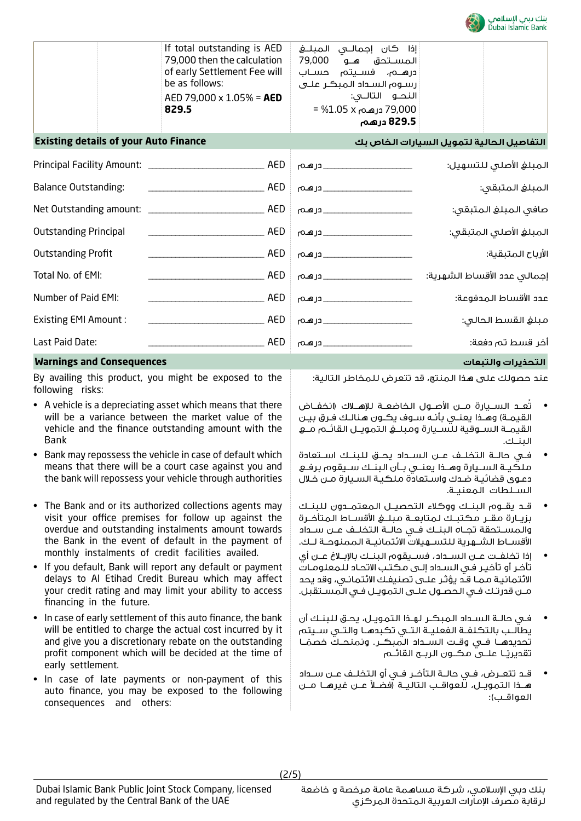

| 829.5<br><b>Existing details of your Auto Finance</b>                                                                                    | 79,000 درهـم x 1.05% =<br>829.5 درهم                                                                                                 | التفاصيل الحالية لتمويل السيارات الخاص بك |
|------------------------------------------------------------------------------------------------------------------------------------------|--------------------------------------------------------------------------------------------------------------------------------------|-------------------------------------------|
| If total outstanding is AED<br>79,000 then the calculation<br>of early Settlement Fee will<br>be as follows:<br>AED 79,000 x 1.05% = AED | إذا كان إجمالـــى الـمبلــــــــــع<br>المسـتحق هـو 79,000<br>ادرهــم، فســیتم حســاب<br>رسوم السداد المبكر على<br>النحــو التالــي: |                                           |

| Principal Facility Amount: __________ | AED | __ درهـم | المبلغ الأصلى للتسهيل:      |
|---------------------------------------|-----|----------|-----------------------------|
| <b>Balance Outstanding:</b>           | AED |          | المبلغ المتبقى:             |
| Net Outstanding amount:               | AED | _درهم    | صافي المبلغ المتبقى:        |
| <b>Outstanding Principal</b>          | AED | __ درهم  | المبلغ الأصلى المتبقى:      |
| <b>Outstanding Profit</b>             | AED |          | الأرباح المتبقية:           |
| Total No. of EMI:                     | AED | _درهم    | إجمالى عدد الأقساط الشهرية: |
| Number of Paid EMI:                   | AED | _درهم    | عدد الأقساط المدفوعة:       |
| <b>Existing EMI Amount:</b>           | AED | _درهم    | مبلغ القسط الحالى:          |
| Last Paid Date:                       | AED |          | أخر قسط تم دفعة:            |
|                                       |     |          |                             |

# **Warnings and Consequences والتبعات التحذيرات**

By availing this product, you might be exposed to the following risks:

- A vehicle is a depreciating asset which means that there will be a variance between the market value of the vehicle and the finance outstanding amount with the Bank
- Bank may repossess the vehicle in case of default which means that there will be a court case against you and the bank will repossess your vehicle through authorities
- The Bank and or its authorized collections agents may visit your office premises for follow up against the overdue and outstanding instalments amount towards the Bank in the event of default in the payment of monthly instalments of credit facilities availed.
- If you default, Bank will report any default or payment delays to Al Etihad Credit Bureau which may affect your credit rating and may limit your ability to access financing in the future.
- In case of early settlement of this auto finance, the bank will be entitled to charge the actual cost incurred by it and give you a discretionary rebate on the outstanding profit component which will be decided at the time of early settlement.
- In case of late payments or non-payment of this auto finance, you may be exposed to the following consequences and others:

عند حصولك على هذا المنتج، قد تتعرض للمخاطر التالية:

- تُعــد الســيارة مــن األصــول الخاضعــة لإلهــاك )انخفــاض القيمـة) وهـذا يعنــى بأنـه ســوف يكــون هنالـك فـرق بيـن القيمــة الســوقية للســيارة ومبلــغ التمويــل القائــم مــع البنــك.
- فــي حالــة التخلــف عــن الســداد يحــق للبنــك اســتعادة ملكيــة الســيارة وهــذا يعنــي بــأن البنــك ســيقوم برفــع دعـوى قضائيـة ضـدك واسـتعادة ملكيـة السـيارة مـن خـال الســلطات المعنيــة.
- قــد يقــوم البنــك ووكالء التحصيــل المعتمــدون للبنــك بزيــارة مقــر مكتبــك لمتابعــة مبلــغ األقســاط المتأخــرة والمســتحقة تجــاه البنــك فــي حالــة التخلــف عــن ســداد األقســاط الشــهرية للتســهيالت االئتمانيــة الممنوحــة لــك.
- إذا تخلفــت عــن الســداد، فســيقوم البنــك باإلبــاغ عــن أي تأخـر أو تأخيـر فـي السـداد إلـى مكتـب االتحـاد للمعلومـات االئتمانيـة ممـا قـد يؤثـر علـى تصنيفـك االئتمانـي، وقد يحد مــن قدرتــك فــي الحصــول علــى التمويــل فــي المســتقبل.
- فــي حالــة الســداد المبكــر لهــذا التمويــل، يحــق للبنــك أن يطالــب بالتكلفــة الفعليــة التــي تكبدهــا والتــي ســيتم تحديدهـــا فــي وقــت الـســـداد الـمبكـــر. ونمنحــك خصمًــا تقديريــا علـــي مـڪــون الريـــج الـقائـــم
- قــد تتعــرض، فــي حالــة التأخــر فــي أو التخلــف عــن ســداد هــذا الـتمويــل، للعواقــب التاليــة (فضــلاً عــن غيرهــا مــن العواقــب(: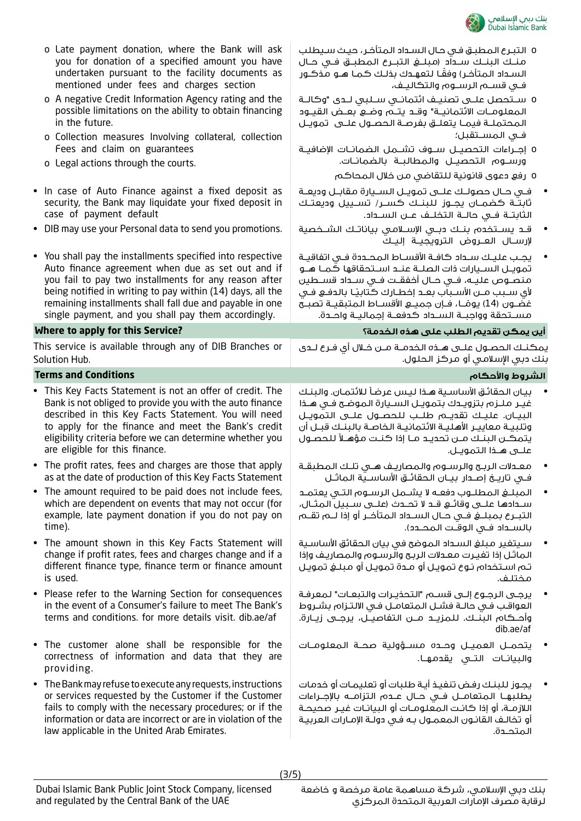

|           | o Late payment donation, where the Bank will ask<br>you for donation of a specified amount you have<br>undertaken pursuant to the facility documents as<br>mentioned under fees and charges section                                                                                                                                                       | 0 التبرع المطبق فى حال السداد المتأخر ، حيث سيطلب<br>منـك البنـك سـداد (مبلــــغ الـتبـــرع الـمـطبـــق فـــى حــال<br>السـداد المتأخـر) وفقًـا لتعهـدك بذلـك كمـا هـو مـذكـور<br>فى قســم الرســوم والتكاليـف،                                                                                                                                                                  |
|-----------|-----------------------------------------------------------------------------------------------------------------------------------------------------------------------------------------------------------------------------------------------------------------------------------------------------------------------------------------------------------|----------------------------------------------------------------------------------------------------------------------------------------------------------------------------------------------------------------------------------------------------------------------------------------------------------------------------------------------------------------------------------|
|           | o A negative Credit Information Agency rating and the<br>possible limitations on the ability to obtain financing<br>in the future.                                                                                                                                                                                                                        | 0 سـتحصل علــى تصنيــف ائتمانــي ســلبي لــدى "وكالــة<br>المعلومــات الائتمانيــة" وقــد يتــم وضــع بعــض القيــود<br>المحتملـة فيمـا يتعلـق بفرصـة الحصـول علــى تمويـل                                                                                                                                                                                                       |
|           | o Collection measures Involving collateral, collection<br>Fees and claim on guarantees                                                                                                                                                                                                                                                                    | فــى المســتقبل؛                                                                                                                                                                                                                                                                                                                                                                 |
|           | o Legal actions through the courts.                                                                                                                                                                                                                                                                                                                       | ٥ إجـــراءات الـتحصيــــل ســــوف تشــــمـل الـضمانـــات الإضافيـــة<br>ورســوم التحصيــل والمطالبــة بالضمائــات.                                                                                                                                                                                                                                                               |
|           |                                                                                                                                                                                                                                                                                                                                                           | 0 رفع دعوى قانونية للتقاضي من خلال المحاكم                                                                                                                                                                                                                                                                                                                                       |
|           | • In case of Auto Finance against a fixed deposit as<br>security, the Bank may liquidate your fixed deposit in<br>case of payment default                                                                                                                                                                                                                 | في حـال حصولـك علــي تمويــل الســيارة مقابــل وديعـة<br>ثابتــة كضمــان يجــوز للبنــك كســر/ تســييل وديعتـك<br>الثابتــة فــى حالــة الـتخلــف عــن الـســداد.                                                                                                                                                                                                                |
|           | • DIB may use your Personal data to send you promotions.                                                                                                                                                                                                                                                                                                  | قــد يســتخدم بنــك دبــى الإســلامـى بياناتــك الشــخصية<br>لإرسـال العــروض الترويجيــة إليــك                                                                                                                                                                                                                                                                                 |
|           | • You shall pay the installments specified into respective<br>Auto finance agreement when due as set out and if<br>you fail to pay two installments for any reason after<br>being notified in writing to pay within (14) days, all the<br>remaining installments shall fall due and payable in one<br>single payment, and you shall pay them accordingly. | يجب عليك سداد كافـة الأقسـاط المحـددة فـى اتفاقيـة<br>تمويـل الســيارات ذات الصلــة عنــد اســتحقاقها كـمـا هــو<br>منصــوص عليـــه، فـــى حــال أخفقــت فــى ســـداد قســطين<br>لأى سـبب مــن الأسـباب بعــد إخطــارك كـتابيـًـا بالـدفــــــو فـــى<br>غضـون (14) يومًــا، فــإن جميـــع الأقســاط المتبقيــة تصبــح<br>مســتحقة وواجبــة الســداد كـدفعــة إجماليــة واحــدة. |
|           | Where to apply for this Service?                                                                                                                                                                                                                                                                                                                          | أين يمكن تقديم الطلب على هذه الخدمة؟                                                                                                                                                                                                                                                                                                                                             |
|           | This service is available through any of DIB Branches or<br>Solution Hub.                                                                                                                                                                                                                                                                                 | يمكنـك الحصـول علــى هــذه الـخدمــة مــن خــلال أى فـرع لــدى<br>بنك دبي الإسلامي أو مركز الحلول.                                                                                                                                                                                                                                                                               |
|           | <b>Terms and Conditions</b>                                                                                                                                                                                                                                                                                                                               | الشروط والأحكام                                                                                                                                                                                                                                                                                                                                                                  |
|           | • This Key Facts Statement is not an offer of credit. The<br>Bank is not obliged to provide you with the auto finance<br>described in this Key Facts Statement. You will need<br>to apply for the finance and meet the Bank's credit<br>eligibility criteria before we can determine whether you<br>are eligible for this finance.                        | بيان الحقائق الأساسية هذا ليس عرضاً للائتمان. والبنك<br>غيـر ملـزم بتزويـدك بتمويـل السـيارة الموضح فـى هـذا<br>البيـان. عليـك تقديـم طلـب للحصــول علــى التمويـل<br>وتلبيـة معاييـر الأهليـة الائتمانيـة الخاصـة بالبنـك قبـل أن<br>يتمكـن البنـك مـن تحديـد مـا إذا كنـت مؤهـلاً للحصـول                                                                                      |
|           |                                                                                                                                                                                                                                                                                                                                                           |                                                                                                                                                                                                                                                                                                                                                                                  |
|           | • The profit rates, fees and charges are those that apply<br>as at the date of production of this Key Facts Statement                                                                                                                                                                                                                                     | معدلات الربح والرسـوم والمصاريـف هــى تلـك المطبقـة                                                                                                                                                                                                                                                                                                                              |
|           | • The amount required to be paid does not include fees,<br>which are dependent on events that may not occur (for<br>example, late payment donation if you do not pay on<br>time).                                                                                                                                                                         | المبلغ المطلـوب دفعـه لا يشـمل الرسـوم التـى يعتمـد<br>ســدادها علــــي وقائـــع قــد لا تحــدث (علـــي ســبيل الـمثــال،<br>بالسـداد فـي الـوقـت الـمـدـدد).                                                                                                                                                                                                                    |
|           | • The amount shown in this Key Facts Statement will<br>change if profit rates, fees and charges change and if a<br>different finance type, finance term or finance amount<br>is used.                                                                                                                                                                     | سـيتغير مبلغ السـداد الموضح فى بيان الحقائق الأساسـية<br>الماثل إذا تغيرت معدلات الربح والرسوم والمصاريف وإذا<br>تـم اسـتخدام نـوع تمويـل أو مـدة تمويـل أو مبلـغ تمويـل<br>مختلف.                                                                                                                                                                                               |
| $\bullet$ | Please refer to the Warning Section for consequences<br>in the event of a Consumer's failure to meet The Bank's<br>terms and conditions. for more details visit. dib.ae/af                                                                                                                                                                                | يرجى الرجوع إلـى قســم "التحذيـرات والتبعـات" لمعرفـة<br>العواقب في حالـة فشـل المتعامـل فـي الالـتـزام بشـروط<br>وأحــكام البنــك. للمزيــد مـــن التفاصيــل، يرجــى زيــارة.<br>dib.ae/af                                                                                                                                                                                      |
|           | . The customer alone shall be responsible for the<br>correctness of information and data that they are<br>providing.                                                                                                                                                                                                                                      | يتحمــل العميــل وحــده مســـؤولية صحــة المعلومــات<br>والبيانـات التــى يقدمهــا.                                                                                                                                                                                                                                                                                              |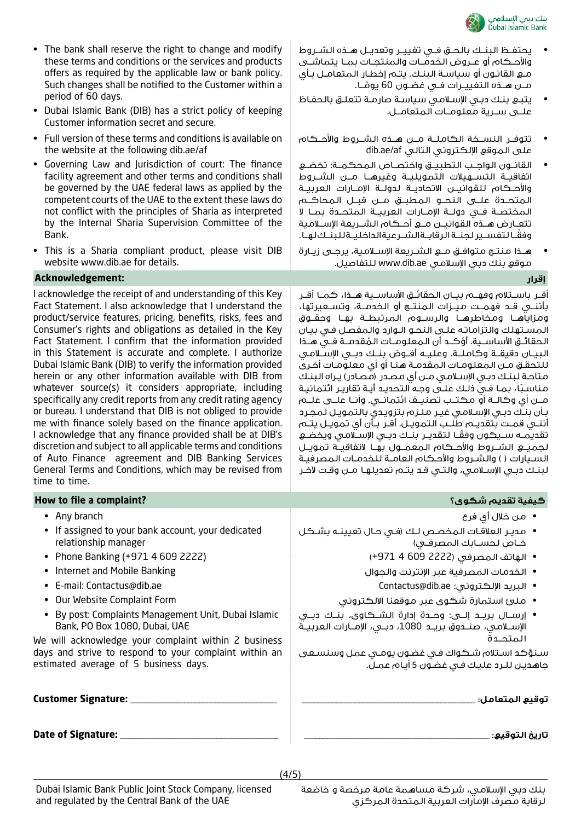

- The bank shall reserve the right to change and modify these terms and conditions or the services and products offers as required by the applicable law or bank policy. Such changes shall be notified to the Customer within a period of 60 days.
- Dubai Islamic Bank (DIB) has a strict policy of keeping Customer information secret and secure.
- Full version of these terms and conditions is available on the website at the following dib.ae/af
- Governing Law and Jurisdiction of court: The finance facility agreement and other terms and conditions shall be governed by the UAE federal laws as applied by the competent courts of the UAE to the extent these laws do not conflict with the principles of Sharia as interpreted by the Internal Sharia Supervision Committee of the Bank.
- This is a Sharia compliant product, please visit DIB website www.dib.ae for details.

# **إقرار :Acknowledgement**

I acknowledge the receipt of and understanding of this Key Fact Statement. I also acknowledge that I understand the product/service features, pricing, benefits, risks, fees and Consumer's rights and obligations as detailed in the Key Fact Statement. I confirm that the information provided in this Statement is accurate and complete. I authorize Dubai Islamic Bank (DIB) to verify the information provided herein or any other information available with DIB from whatever source(s) it considers appropriate, including specifically any credit reports from any credit rating agency or bureau. I understand that DIB is not obliged to provide me with finance solely based on the finance application. I acknowledge that any finance provided shall be at DIB's discretion and subject to all applicable terms and conditions of Auto Finance agreement and DIB Banking Services General Terms and Conditions, which may be revised from time to time.

| of Auto Finance agreement and DIB Banking Services<br>General Terms and Conditions, which may be revised from<br>time to time.                          | السـيارات ( ) والشـروط والأحـكام العامـة للخدمـات المصرفيـة<br>لبنـك دبـي الإسـلامـي، والـتـي قـد يتـم تعديلهـا مــن وقـت لآخـر                     |
|---------------------------------------------------------------------------------------------------------------------------------------------------------|-----------------------------------------------------------------------------------------------------------------------------------------------------|
| How to file a complaint?                                                                                                                                | كيفية تقديم شكوى؟                                                                                                                                   |
| • Any branch                                                                                                                                            | •   من خلال أي فرع                                                                                                                                  |
| • If assigned to your bank account, your dedicated<br>relationship manager                                                                              | •   مديـر العلاقـات الـمـــــــص لــك (فـــى حــال تعيينـــه بشـــكـل<br>خـاص لحسـابك المصرفـى)                                                     |
| • Phone Banking (+971 4 609 2222)                                                                                                                       | • الهاتف المصرفي (2222 609 4 971+)                                                                                                                  |
| Internet and Mobile Banking<br>$\bullet$                                                                                                                | • الخدمات المصرفية عبر الإنترنت والجوال                                                                                                             |
| • E-mail: Contactus@dib.ae                                                                                                                              | • البريد الإلكتروني: Contactus@dib.ae                                                                                                               |
| • Our Website Complaint Form                                                                                                                            | •   ملئ استمارة شكوى عبر موقعنا الالكتروني                                                                                                          |
| By post: Complaints Management Unit, Dubai Islamic<br>Bank, PO Box 1080, Dubai, UAE                                                                     | • إرســال بريـــد إلــــي: وحــــدة إدارة الـشـــكـاوي، بنــك دبـــى<br>الإســلامـي، صنــدوق بريــد 1080، دبــي، الإمــارات الـعربيــة<br>المتحــدة |
| We will acknowledge your complaint within 2 business<br>days and strive to respond to your complaint within an<br>estimated average of 5 business days. | سنؤكد استلام شكواك فى غضون يومى عمل وسنسعى<br>جاھدين للـرد عليك فـى غضـون 5 أيـام عمـل.                                                             |
| <b>Customer Signature: __</b>                                                                                                                           | توقيع المتعامل:                                                                                                                                     |
| Date of Signature: _____                                                                                                                                | تاريخ التوقيع:                                                                                                                                      |

- يحتفــظ البنــك بالحــق فــي تغييــر وتعديــل هــذه الشــروط والأحــكام أو عــروض الخدمــات والـمنتجــات بمــا يتماشــى مـع القانـون أو سياسـة البنـك. يتـم إخطـار المتعامـل بـأي مــن هــذه التغييــرات فــى غضــون 60 يومُــا. ً
- يتبـع بنـك دبـي اإلسـامي سياسـة صارمـة تتعلـق بالحفـاظ علــى ســرية معلومــات المتعامــل.
- تتوفــر النســخة الكاملــة مــن هــذه الشــروط واألحــكام على الموقع اإللكتروني التالي af/ae.dib
- القانــون الواجــب التطبيــق واختصــاص المحكمــة: تخضــع اتفاقيــة التســهيالت التمويليــة وغيرهــا مــن الشــروط واألحــكام للقوانيــن االتحاديــة لدولــة اإلمــارات العربيــة المتحــدة علــى النحــو المطبــق مــن قبــل المحاكــم المختصــة فــي دولــة اإلمــارات العربيــة المتحــدة بمــا ال تتعــارض هــذه القوانيــن مــع أحــكام الشــريعة اإلســامية ً وفقــا لتفســير لجنــة الرقابــة الشــرعية الداخليــة للبنــك لهــا.
- هــذا منتــج متوافــق مــع الشــريعة اإلســامية، يرجــى زيــارة موقع بنك دبي اإلسالمي ae.dib.www للتفاصيل.

أقــر باســتالم وفهــم بيــان الحقائــق األساســية هــذا، كمــا أقــر بأننــي قــد فهمــت ميــزات المنتــج أو الخدمــة، وتســعيرتها، ومزاياهــا ومخاطرهــا والرســوم المرتبطــة بهــا وحقــوق المسـتهلك والتزاماتـه علـى النحـو الـوارد والمفصـل فـي بيـان الحقائــق الأساســـــة. أؤكــد أن المعلومــات المُقدمــة فــي هــذا البيــان دقيقــة وكاملــة. وعليــه أفــوض بنــك دبــي اإلســامي ُ للتحقـق مـن المعلومـات المقدمـة هنـا أو أي معلومـات أخـرى متاحـة لبنـك دبـي اإلسـامي مـن أي مصـدر )مصـادر( يـراه البنـك مناسبًا، بمـا فـي ذلـك علـى وجـه الـتحديـد أيـة تقاريـر ائتمانيـة مــن أي وكالــة أو مكتــب تصنيــف ائتمانــي. وأنــا علــى علــم بـأن بنـك دبـي اإلسـامي غيـر ملـزم بتزويـدي بالتمويـل لمجـرد أننــي قمــت بتقديــم طلــب التمويــل. أقــر بــأن أي تمويــل يتــم تقديمــه ســيكـون وفقًــا لـتقديــر بنــك دبــى الإســـلامـى ويخضــع لجميــع الشــروط واألحــكام المعمــول بهــا التفاقيــة تمويــل